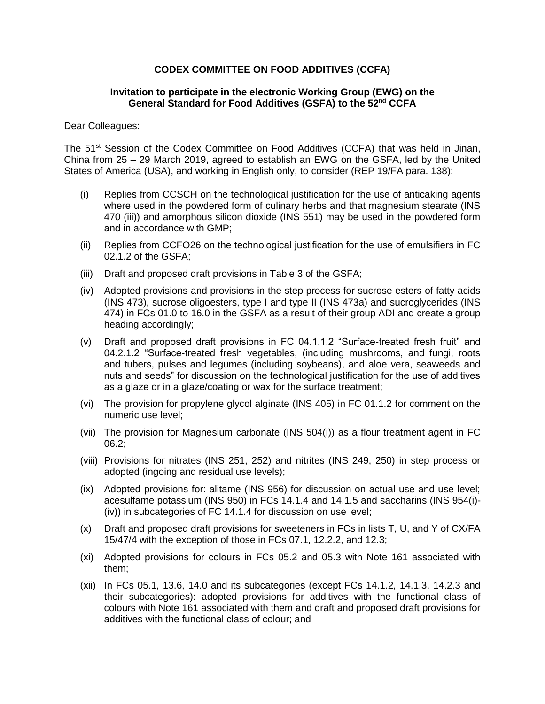## **CODEX COMMITTEE ON FOOD ADDITIVES (CCFA)**

## **Invitation to participate in the electronic Working Group (EWG) on the**  General Standard for Food Additives (GSFA) to the 52<sup>nd</sup> CCFA

## Dear Colleagues:

The 51<sup>st</sup> Session of the Codex Committee on Food Additives (CCFA) that was held in Jinan, China from 25 – 29 March 2019, agreed to establish an EWG on the GSFA, led by the United States of America (USA), and working in English only, to consider (REP 19/FA para. 138):

- (i) Replies from CCSCH on the technological justification for the use of anticaking agents where used in the powdered form of culinary herbs and that magnesium stearate (INS 470 (iii)) and amorphous silicon dioxide (INS 551) may be used in the powdered form and in accordance with GMP;
- (ii) Replies from CCFO26 on the technological justification for the use of emulsifiers in FC 02.1.2 of the GSFA;
- (iii) Draft and proposed draft provisions in Table 3 of the GSFA;
- (iv) Adopted provisions and provisions in the step process for sucrose esters of fatty acids (INS 473), sucrose oligoesters, type I and type II (INS 473a) and sucroglycerides (INS 474) in FCs 01.0 to 16.0 in the GSFA as a result of their group ADI and create a group heading accordingly;
- (v) Draft and proposed draft provisions in FC 04.1.1.2 "Surface-treated fresh fruit" and 04.2.1.2 "Surface-treated fresh vegetables, (including mushrooms, and fungi, roots and tubers, pulses and legumes (including soybeans), and aloe vera, seaweeds and nuts and seeds" for discussion on the technological justification for the use of additives as a glaze or in a glaze/coating or wax for the surface treatment;
- (vi) The provision for propylene glycol alginate (INS 405) in FC 01.1.2 for comment on the numeric use level;
- (vii) The provision for Magnesium carbonate (INS 504(i)) as a flour treatment agent in FC 06.2;
- (viii) Provisions for nitrates (INS 251, 252) and nitrites (INS 249, 250) in step process or adopted (ingoing and residual use levels);
- (ix) Adopted provisions for: alitame (INS 956) for discussion on actual use and use level; acesulfame potassium (INS 950) in FCs 14.1.4 and 14.1.5 and saccharins (INS 954(i)- (iv)) in subcategories of FC 14.1.4 for discussion on use level;
- (x) Draft and proposed draft provisions for sweeteners in FCs in lists T, U, and Y of CX/FA 15/47/4 with the exception of those in FCs 07.1, 12.2.2, and 12.3;
- (xi) Adopted provisions for colours in FCs 05.2 and 05.3 with Note 161 associated with them;
- (xii) In FCs 05.1, 13.6, 14.0 and its subcategories (except FCs 14.1.2, 14.1.3, 14.2.3 and their subcategories): adopted provisions for additives with the functional class of colours with Note 161 associated with them and draft and proposed draft provisions for additives with the functional class of colour; and